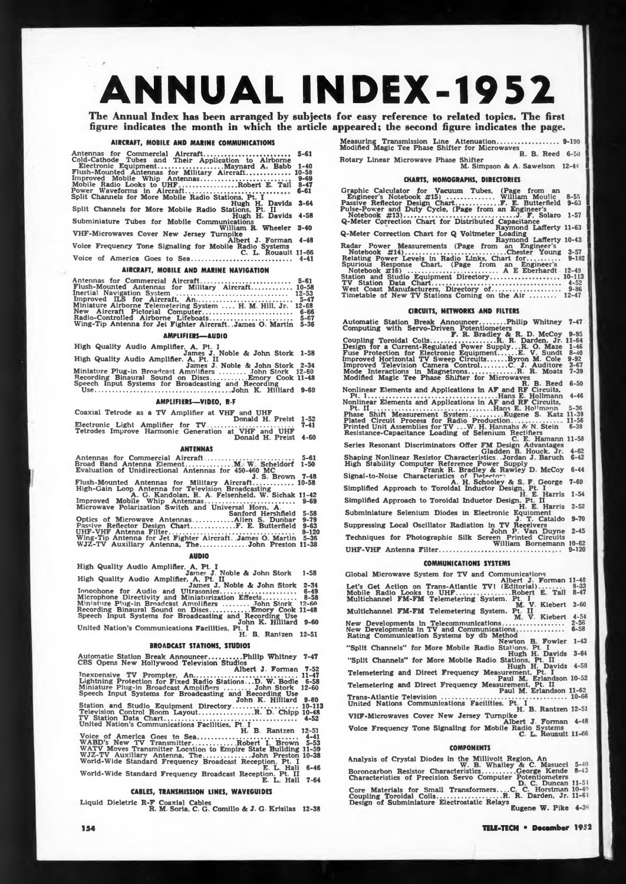# **ANNUAL INDEX-1952**

**The Annual Index has been arranged by subjects for easy reference to related topics. The first figure indicates the month in which the article appeared; the second figure indicates the page.**

#### **AIRCRAFT, MOBILE AND MARINE COMMUNICATIONS**

**Antennas for Commercial Aircraft............................ . .............. 5-61 Cold-Cathode Tubes and Their Application to Airborne Electronic Equipment.................................. Maynard A. Babb 1-40 Flush-Mounted Antennas for Military Aircraft....................... 10-58 Improved Mobile Whip Antennas......................................... . 9-69 Mobile Radio Looks to UHF .............................Robert E. Tall 8-47 Power Waveforms in Aircraft........... .................................... 6-61 Split Channels for More Mobile Radio Stations, Pt. I Hugh <sup>H</sup> Davids 3-64 Split Channels for More Mobile Radio Stations, Pt. II** Hugh H. Davids 4-58<br>Subminiature Tubes for Mobile Communications<br>VHF-Microwaves Cover New Jersey Turnpike **Albert J. Forman 4-48 Voice Frequency Tone Signaling for Mobile Radio Systems C. L. Rouault 11-66 Voice of America Goes to Sea.................................................... 4-41**

# **AIRCRAFT, MOBILE AND MARINE NAVIGATION**

**Antennas for Commercial Aircraft...................... . ...................... 5-61 Flush-Mounted Antennas for Military Aircraft..................... 10-58 Inertial Navigation System .......................................................... 12-53 Improved ILS for Aircraft, An.................................................. 5-47 Miniature Airborne Telemetering System .... H. M. Hill, Jr. 12-68 New Aircraft Pictorial Computer............................................... 6-66 Radio-Controlled Airborne Lifeboats........................................... 5-G7 Wing-Tip Antenna for Jet Fighter Aircraft. .James O. Martin 5-36**

# **AMPLIFIER!—AUDIO**

High Quality Audio Amplifier, A, Pt. I<br>High Quality Audio Amplifier, A, Pt. II<br>High Quality Audio Amplifier, A, Pt. II<br>Miniature Plug-in Broadcast Amplifiers ......... John Stork 12-50<br>Recording Binaural Sound on Discs....

**AMPLIFIERS—VIDEO, R-F**

**Coaxial Tetrode as a TV Amplifier at VHF and UHF Donald H Preist 1-52**

**Electronic Light Amplifier for TV............................................. 7-41 Tetrodes Improve Harmonic Generation at VHF and UHF Donald H Preist 4-60**

**ANTENNAS Antennas for Commercial Aircraft.............................................. 5-61**

| Broad Band Antenna Element M. W. Scheldorf 1-50      |  |  |  |  |
|------------------------------------------------------|--|--|--|--|
|                                                      |  |  |  |  |
| Evaluation of Unidirectional Antennas for 450-460 MC |  |  |  |  |

**Broad Band Antenna Element......... .............M W Scheldorf 1-50 Evaluation of Unidirectional Antennas for 450-460 MC J S Brown 7-48 Flush-Mounted Antennas for Military Aircraft..................... 10-58 High-Gain Loop Antenna for Television Broadcasting <sup>A</sup> G. Kandolan, <sup>R</sup> A. Felsenheld. W. Sichak 11-42 Improved Mobile Whip Antennas............................................... 9-69**

**Microwave Polarization Switch and Universal Horn, A. Sanford Hershfield 5-58 Optics of Microwave Antennas................Allen S Dunbar 9-79 Passive Reflector Design Chart.......................F. E. Butterfield 9-63 UHF-VHF Antenna Filter.................................................................. 9-120 Wing-Tip Antenna for Jet Fighter Aircraft. James O Martin 5-36 WJZ-TV Auxiliary Antenna, The........................John Preston 11-38**

#### **AUDIO**

High Quality Audio Amplifier, A, Pt. I<br>High Quality Audio Amplifier, A, Pt. II<br>International Amplifier, A, Pt. II<br>International Amplifier, A, Pt. II

AUDIO<br>
High Quality Audio Amplifier. A, Pt. I<br>
High Quality Audio Amplifier. A, Pt. II<br>
James J. Noble & John Stork 1-58<br>
High Quality Audio Amplifier. A. Pt. II<br>
Miniature Plug-in Broadcast Amplifiers ....................

# **BROADCAST STATIONS, STUDIOS**

Automatic Station Break Announcer.........Philip Whitney 7-47<br>CBS Opens New Hollywood Television Studios<br>Verman Territory Albert J. Forman 7-52

**Tnexnensive TV Prompter, An............................. 11-47**

**Lightning Protection for Fixed Radio Stations.. .D. W. Bodie 6-58 Miniature Plug-in Broadcast Amplifiers .............John Stork 12-60 Speech Input Systems for Broadcasting and Recording Use John K. Hilliard 9-60 Station and Studio Equipment Directory.................... 10-113 Television Control Room Layout.........................R. D. Chipp 10-48**

**TV Station Data Chart......................................................... 4-52 United Nation's Communications Facilities, Pt I H. B. Rantzen 12-51 Voice of America Goes tn Sea..................................................... 4-41 WABD'<sup>s</sup> New' TV Transmitter............... Robert <sup>I</sup> Brown 5-53 WATV Moves Transmitter Location to Empire State Building 11-59 WJZ-TV Auxiliary Antenna, The........................ John Preston 10-38 World-Wide Standard Frequency Broadcast Reception, Pt. I E. L. Hall 6-46 World-Wide Standard Frequency Broadcast Reception. Pt. II E. L Hall 7-64**

# **CABLES, TRANSMISSION LINES, WAVEGUIDES**

**Liquid Dieletric R-F Coaxial Cables R. M. Soria. C. G. Comillo & J. G. Krisilas 12-38**

**Measuring Transmission Line Attenuation............. . ...................9-190** I **Modified Magic Toe Phase Shifter for Microwaves <sup>R</sup> B Reed 6-50 I**

**Rotary Linear Microwave Phase Shifter M. Simpson A A. Sawelson 12-44 I**

**CHARTS, NOMOGRAPHS, DIRECTORIES**

**Graphic Calculator for Vacuum Tubes, (Page from an Engineer'<sup>s</sup> Notebook #15) ..................... William Moulic 8-55 I Passive Reflector Design Chart.................. ..F. E. Butterfield 9-63 I Pulse-Power and Duty Cycle, (Page from an Engineer'<sup>s</sup> Notebook #13)..........................................................J. F. Solaro 1-57 I** Q-Meter Correction Chart for Distributed Capacitance<br>
Q-Meter Correction Chart for Q Voltmeter Loading<br>
Radar Power Measurements (Page from an Engineer's<br>
Notebook #14)..........................Chester Young 3-57<br>
Relating

# **CIRCUITS. NETWORKS AND FILTERS**

**Automatic Station Break Announcer............. Philip Whitney 7-47 <sup>I</sup> Computing with Servo-Driven Potentiometers F. R. Bradley & R D. McCoy 9-95 Coupling Toroidal Coils.................................. R R. Darden, Jr. 11-64 Design for a Current-Regulated Power Supply...R. O Maze 1-46 <sup>I</sup> Fuse Protection for Electronic Equipment......... E. V Sundt 8-10 <sup>I</sup> Improved Horizontal TV Sweep Circuits.........Byron M. Cole 9-92 <sup>I</sup> Improved Television Camera Control............ C. J. Auditore 3-67 Mode Interactions in Magnetrons.........................R. R. Moats 7-39 Modified Magic Tee Phase Shifter for Microwaves R. B. Reed 6-50 Nonlinear Elements and Applications in AF and RF Circuits, PI 1................................................................Hans E. Hollmann 4-46 Nonlinear Elements and Applications in AF and RF Circuits, Pt II . .................... Hans <sup>E</sup> Hofmann 5-36 Phase Shift Measurement System............... Eugene S. Katz 11-39 Plated Circuit Process for Radio Production ......................... 11-56 Printed Unit Assemblies for TV .. .W. <sup>H</sup> Hannahs & N. Stein 6-38** Resistance-Capacitance Loading of Selenium Rectifiers<br>Series Resonant Discriminators Offer FM Design Advantages<br>Shaping Nonlinear Resistor Characteristics. Jordan J. Baruck, Jr. 4-62<br>Shaping Nonlinear Resistor Characterist Signal-to-Noise Characteristics of Peterior:<br>
A. H. Schooley & Rawley D. McCoy 6-44<br>
Simplified Approach to Toroidal Inductor Design, Pt. I<br>
Simplified Approach to Toroidal Inductor Design, Pt. II<br>
Subminiature Selenium Di **Suppressing Local Oscillator Radiation in TV Receivers John P Van Duyne 2-45 Techniques for Photographic Silk Screen Printed Circuits William Bornemann 10-62 UHF-VHF Antenna Filter...................................................... . . .. 9-120**

## **COMMUNICATIONS SYSTEMS**

Global Microwave System for TV and Communications<br>Let's Get Action on Trans-Atlantic TV1 (Editorial)........ 8-33<br>Mobile Radio Looks to UHF..................Robert E. Tall 8-47 **Multichannel FM-FM Telemetering System. Pt <sup>1</sup> <sup>M</sup> V. Kiebert 3-60 Multichannel FM-FM Telemetering System, Pt II M. V. Kiebert 4-54 New Developments in Telecommunications .............................. 2-56 New Developments in TV and Communications ..................... 6-58 Rating Communication Systems by db Method Newton <sup>B</sup> Fowler 1-43 "Split Channels" for More Mobile Radio Stations. Pt. I Hugh H. Davids 3-61 "Split Channels" for More Mobile Radio Stations, Pt. II Hugh H. Davids 4-58 Telemetering and Direct Frequency Measurement. Pt. I Paul M Erlandson 10-52 Telemetering and Direct Frequency Measurement, Pt. II Paul M. Erlandson 11-62 Trans-Atlantic Television .................................................................. 10-66 United Nations Communications Facilities, Pt <sup>T</sup> <sup>H</sup> <sup>B</sup> Rantzen 12-51** VHF-Microwaves Cover New Jersey Turnpike<br>Voice Frequency Tone Signaling for Mobile Radio Systems

#### **COMPONENTS**

Analysis of Crystal Diodes in the Millivolt Region, An<br>Boroncarbon Resistor Characteristics..............George Kende 8-43<br>Characteristics of Precision Servo Computer Potentiometers<br>Core Materials for Small Transformers..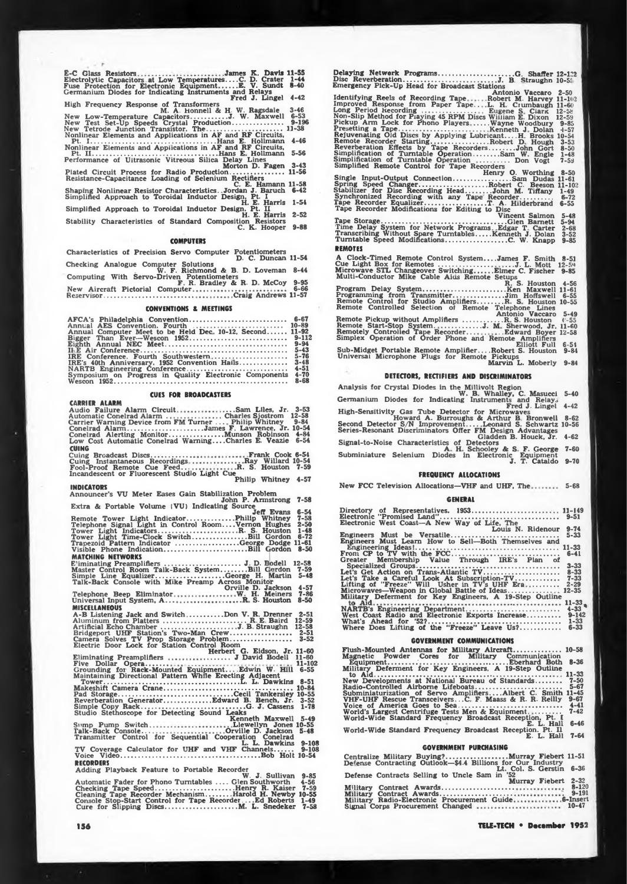**Ë-C Glass Resistors .James K. Davis 11-55 Electrolytic Capacitors at Low Temperatures... .C. D. Crater Fuse Protection for Electronic Equipment..........E. V. Sundt Germanium Diodes for Indicating Instruments and Relays Fred J. Lingel 1-44 8-40 High**

**New New New Frequency Response of Transformers M. A. Honnell & H. W. Ragsdale Low-Temperature Capacitors...................J- W- Maxwell Test Set-Up Speeds Crystal Production.......................... Tetrode Junction Transistor. The.................... . ................ Nonlinear Elements and Applications in AF and RF Circuits, Pt. I..............................................................Hans E. Hollmann 3-46 6-53 9-196 11-38**

**4-46 5-56**

**Nonlinear Elements and Applications in AF and RF Circuits, Pt. II................................ ............................. Hans <sup>E</sup> Hollmann Performance of Ultrasonic Vitreous Silica Delay Lines Morton D. Fagen Plated Circuit Process for Radio Production............................ 3-43 11-56**

Resistance-Capacitance Loading of Selenium Rectifiers<br>Shaping Nonlinear Resistor Characteristics. Jordan J. Baruch<br>Simplified Approach to Toroidal Inductor Design, Pt. I<br>Simplified Approach to Toroidal Inductor Design, Pt. **11-58 6-42**

**1-51 2-52**

**9-88**

# **COMPUTERS**

**Characteristics of Precision Servo Computer Potentiometers D. C. Duncan 11-54** Checking Analogue Computer Solutions<br>
W. F. Richmond & B. D. Loveman<br>
Computing With Servo-Driven Potentiometers<br>
N. C. J. C. F. R. Bradley & R. D. McCoy **8-44 New Aircraft Pictorial Computer Reservisor.............................................. Craig Andrews 9-95 6-66 11-57**

#### **CONVENTIONS & MEETINGS**

| AFCA's Philadelphia Convention 6-67<br>Annual AES Convention. Fourth<br>Annual Computer Meet to be Held Dec. 10-12, Second 11-92<br>IRE Conference. Fourth Southwestern 5-76<br>IRE's $40th$ Anniversary, 1952 Convention Hails<br>NARTB Engineering Conference | $10 - 89$<br>$9 - 94$<br>$3 - 48$<br>$4 - 51$ |
|-----------------------------------------------------------------------------------------------------------------------------------------------------------------------------------------------------------------------------------------------------------------|-----------------------------------------------|
| Symposium on Progress in Quality Electronic Components                                                                                                                                                                                                          | $4 - 70$                                      |
|                                                                                                                                                                                                                                                                 | $8 - 68$                                      |

# **CUES FOR BROADCASTERS**

**CARRIER ALARM Audio Failure Alarm Circuit Automatic Conelrad Alarm . ....Sam Liles, Jr. Charles Sjostrom 3-53 12-58 Carrier Warning Device from FM Turner ... Philip Whitney 9-84 — Conelrad Alarm....................................... James F. Lawrence, Jr. 10-54 Conelrad Alerting Monitor..........................Munson Robinson 4-84 Low Cost Automatic Conelrad Warning... .Charles E. Veazie 6-54 CUING Cuing Broadcast Discs................... Cuing Instantaneous Recordings. Fool-Proof Remote Cue Feed... .Frank Cook 6-51 Ray Willard R. S. Houston Incandescent or Fluorescent Studio Light CuePhilip Whitney 10-54 7-59 INDICATORS Announcer'<sup>s</sup> VU Meter Eases Gain Stabilization Problem John P. Armstrong Extra & Portable Volume** (VU) Indicating Source<br> **7-58**<br> **7-11-59**<br> **7-11-59**<br> **7-11-59**<br> **7-11-59**<br> **7-11-59**<br> **7-11-59**<br> **7-12-59**<br> **7-12-59 4-57 6-54 7-58 Remote Tower Light Indicator.........................Philip Whitney 2-50 1-48 6-72 11-61 8-50 Telephone Signal Light in Control Room... .Vernon Hughes Tower Light Indicators..........................................R- S. Houston Tower Light Time-Clock Switch.............................Bill Gordon Trapezoid Pattern Indicator ................................. George Dodge Visible Phone Indication............................................Bill Gordon MATCHING NETWORKS E'iminating Preamplifiers......................................... J D. Bodell 12-58 Master Control Room Talk-Back System............. Bill C ordon Simple Line Equalizer....................................George H. Martin Talk-Back Console with Mike Preamp Across Monitor Orville D. Jackson 7-59 5-48 W H. Meiners . .R S. Houston 4-57 7-86 8-50 Telephone Beep Eliminator Universal Input System, A... MISCELLANEOUS A-B Listening Jack and Switch ................. Don V. R. Drenner\_\_\_\_ Aluminum from Platters........................................... R <sup>E</sup> Baird 12-59 Artificial Echo Chamber........................................J- B Straughn 12-58 Bridgeport UHF Station's Two-Man Crew................................ 2-51 Camera Solves TV Prop Storage Problem................................ 3-52 Electric Door Lock for Station Control Room 2-51** Eliminating Preamplifiers<br>
Eliminating Preamplifiers<br>
From J. David Bodell 11-60<br>
From October 10.11-20<br>
Grounding for Rack-Mounted Equipment.... Edwin W. Hill 6-55<br>
Maintaining Directional Pattern While Erecting Adjacent<br> **Tower...................................... L. L. Dawkins 11-102 6-55 Makeshift Camera Crane...... ............................................................. Pad Storage............................................................ Cecil Tankersley Reverberation Generator.........................Edward B. Bench, Jr. Simple Copy Rack.......................................................G. J Cassens Studio Stethoscope for Detecting Sound Leaks Kenneth Maxwell 8-51 10-84 10-55 3-52 1-78 Somp Pump Switch Talk-Back Console... 5-49 Llewellyn Jones 10-55 Orville D. Jackson Transmitter Control for Sequential Cooperation Conelrad L. L. Dawkins TV Coverage Calculator for UHF and VHF Channels......... Voice Video.........................................................................Bob Holt RECORDERS 5-48 9-108 9-108 10-54**

Adding Playback Feature to Portable Recorder<br>Automatic Fader for Phono Turntables .... W. J. Sullivan 9-85<br>Checking Tape Speed...............................Henry R. Kaiser 7-59<br>Cleaning Tape Recorder Mechanism..........He

**Delaying Network Programs........... ........................... G. Shaffer 12-122 Disc Reverberation.................................................J. B. Straughn 10-5.' Emergency Pick-Up Head for Broadcast Stations 4-42 2-50 , , , , \_ Antonio Vaccaro Identifying Reels of Recording Tape . .Robert M. Harvey 11-102 Improved Response from Paper Tape.. L. H Ciumbaugh 11-60 Long Period Recording............................ Eugene S Clars ' Non-Slip Method for Playing 45 RPM Discs William E. Dixon Pickup Arm Lock for Phono Players ....... Wayne Woodbury Presetting a Tape............................................. Kenneth J Dolan Rejuvenating Old Discs by Applying Lubricant... .H. Brooks Remote Recorder Starting..............................Robert D Hough Reverberation Effects by Tape Recorders.............John Gort Simplification of Turntable Operation.............Sam W. Engle Simplification of Turntable Operation ............... Don Vogt Simplified Remote Control for Tape Recorders 12-5fe 12-59 9-85 •1-57 10-54 3-53 8-50 1-48 7-5J \_ Henry O. Worthing Single Input-Output Connection.............................. Sam Dudas** Spring Speed Changer........................Robert C. Beson<br>Stabilizer for Disc Recording Head............John M. Tiffany<br>Synchronized Recorder with any Tape Recorder..........<br>Tape Recorder Modifications for Editing to Di **<sup>1</sup>'ape Storage..................................................................Glen Bamett Time Delay System for Network Programs Edgar T Carter Transcribing Without Spare Turntables........Kenneth J. Dolan Turntable Speed Modifications................................ C. W. Knapp REMOTES <sup>A</sup> Clock-Timed Remote Control System... .James F. Smith Cue Light Box for Remotes.......................... ...J. L. Mott Microwave STL Changeover Switching..........Elmer C. Fischer Multi-Conductor Mike Cable Aids Remote Setups " R. S. Houston Program Delay System..........................................Ken Maxwell Programming from Transmitter........................ Jim Hoffswell Remote Control for StudioAmplifiers............... R. S Houston Remote Controlled Selection of Remote Telephone Lines Antonio Vaccaro Remote Pickup without Amplifiers .....................<sup>R</sup> S. Houston Remote Start-Stop System. ........... J. M Sherwood, Jr Remotely Controlled Tape Recorder.... ..Edward Boyer Simplex Operation of Order Phone and Remote Amplifiers Elliott Full Sub-Midget Portable Remote Amplifier... .Robert S. Houston Universal Microphone Plugs for Remote Pickups Marvin L. Moberly 8-50 11-61 11-61**<br> **11-102**<br> **11-49**<br> **11-49**<br> **11-49**<br> **11-612**<br> **11-612**<br> **11-612 1-49 6-72 6-55 5-48 5-94 2-68 3-52 9-85 8-51 12-54 9-85 4-56 11-61 6-55 10-55 5-49 I -55 11-60 12-58**

**6-51 9-81 9-84**

# **DETECTORS, RECTIFIERS AND DISCRIMINATORS**

Analysis for Crystal Diodes in the Millivolt Region<br>Germanium Diodes for Indicating Instruments and Relays **5-40**

**4-42**

High-Sensitivity Gas Tube Detector for Microsystems and tend J. Lingel<br>High-Sensitivity Gas Tube Detector for Microsystems<br>Second Detector S/N Improvement.....Leonard S. Schwartz<br>Series-Resonant Discriminators Offer FM Des **8-62 10-56**

**4-62**

**7-60**

**9-70**

# **FREQUENCY ALLOCATIONS**

**New FCC Television Allocations—VHF and UHF, The 5-68**

#### **GENERAL**

| Directory of Representatives. 1953 11-149                |  |
|----------------------------------------------------------|--|
|                                                          |  |
| Electronic West Coast-A New Way of Life. The             |  |
|                                                          |  |
| Louis N. Ridenour<br>$9 - 74$                            |  |
| $5 - 33$                                                 |  |
|                                                          |  |
|                                                          |  |
|                                                          |  |
|                                                          |  |
| Greater Membership Value Through IRE's Plan of           |  |
|                                                          |  |
|                                                          |  |
|                                                          |  |
| Let's Take a Careful Look At Subscription-TV 7-33        |  |
|                                                          |  |
| Lifting of "Freeze" Will Usher in TV's UHF Era 2-29      |  |
| Microwaves—Weapon in Global Battle of Ideas 12-35        |  |
| Military Deferment for Key Engineers, A 19-Step Outline  |  |
|                                                          |  |
|                                                          |  |
|                                                          |  |
| West Coast Radio and Electronic Exports Increase 9-142   |  |
|                                                          |  |
|                                                          |  |
| Where Does Lifting of the "Freeze" Leave Us?<br>$6 - 33$ |  |
|                                                          |  |

#### **GOVERNMENT COMMUNICATIONS**

| Flush-Mounted Antennas for Military Aircraft 10-58                                                                               |
|----------------------------------------------------------------------------------------------------------------------------------|
| Magnetic Powder Cores for Military Communication                                                                                 |
| Military Deferment for Key Engineers, A 19-Step Outline                                                                          |
| New Developments at National Bureau of Standards<br>$7 - 50$                                                                     |
|                                                                                                                                  |
| Subminiaturization of Servo AmplifiersAlbert C. Smith 11-45<br>VHF-UHF Rescue TransceiversC. F. Maass & R. R. Reilly<br>$9 - 67$ |
|                                                                                                                                  |
| $7 - 42$<br>World's Largest Centrifuge Tests Men & Equipment<br>World-Wide Standard Frequency Broadcast Reception, Pt. I         |
| E. L. Hall 6-46                                                                                                                  |
| World-Wide Standard Frequency Broadcast Reception. Pt. Il<br>$7 - 64$<br>E. L. Hall                                              |
| <b>GOVERNMENT PURCHASING</b>                                                                                                     |
| Centralize Military Buying?Murray Fiebert 11-51<br>Defense Contracting Outlook 64 & Billions for Our Industry                    |

| Defense Contracting Outlook-\$4.4 Billions for Our Industry |           |
|-------------------------------------------------------------|-----------|
| Lt. Col. S. Gerstin 6-36                                    |           |
| Defense Contracts Selling to Uncle Sam in '52               |           |
| Murray Fiebert 2-32                                         |           |
| Military Contract Awards                                    | 8-120     |
|                                                             | $9 - 191$ |
| Military Radio-Electronic Procurement Guide 6-Insert        |           |
|                                                             |           |
|                                                             |           |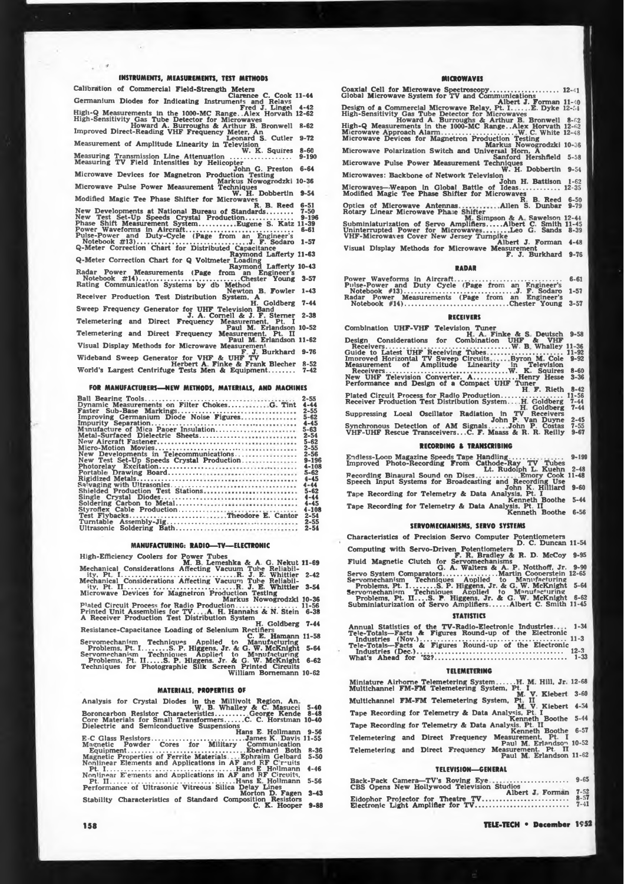# **INSTRUMENTS. MEASUREMENTS, TEST METHODS**

| Calibration of Commercial Field-Strength Meters                                         |           |
|-----------------------------------------------------------------------------------------|-----------|
| Clarence C. Cook 11-44                                                                  |           |
| Germanium Diodes for Indicating Instruments and Relays                                  |           |
| Fred J. Lingel                                                                          | $4 - 42$  |
| High-Q Measurements in the 1000-MC Range. Alex Horvath 12-62                            |           |
| High-Sensitivity Gas Tube Detector for Microwaves                                       |           |
| Howard A. Burroughs & Arthur B. Bronwell                                                | $8 - 62$  |
| Improved Direct-Reading VHF Frequency Meter, An                                         |           |
| Leonard S. Cutler                                                                       | $9 - 72$  |
| Measurement of Amplitude Linearity in Television                                        |           |
| W. K. Squires                                                                           | $8 - 60$  |
| Measuring Transmission Line Attenuation<br>Measuring TV Field Intensities by Helicopter | $9 - 190$ |
| John G. Preston                                                                         | $6 - 64$  |
| Microwave Devices for Magnetron Production Testing                                      |           |
| Markus Nowogrodzki 10-36                                                                |           |
| Microwave Pulse Power Measurement Techniques                                            |           |
| W. H. Dobbertin                                                                         | $9 - 54$  |
| Modified Magic Tee Phase Shifter for Microwaves                                         |           |
| R. B. Reed                                                                              | $6 - 51$  |
| New Developments at National Bureau of Standards                                        | $7 - 50$  |
| New Test Set-Up Speeds Crystal Production                                               | $9 - 196$ |
| Phase Shift Measurement SystemEugene S. Katz 11-39                                      |           |
| Power Waveforms in Aircraft                                                             | $6 - 61$  |
| Pulse-Power and Duty-Cycle (Page from an Engineer's                                     |           |
|                                                                                         | $1 - 57$  |
| Q-Meter Correction Chart for Distributed Capacitance                                    |           |
| Raymond Lafferty 11-63                                                                  |           |
| Q-Meter Correction Chart for Q Voltmeter Loading                                        |           |
| Raymond Lafferty 10-43                                                                  |           |
| Radar Power Measurements (Page from an Engineer's                                       | $3 - 57$  |
| Notebook #14)Chester Young<br>Rating Communication Systems by db Method                 |           |
| Newton B. Fowler                                                                        | $1 - 43$  |
| Receiver Production Test Distribution System, A                                         |           |
| H. Goldberg                                                                             | $7 - 44$  |
| Sweep Frequency Generator for UHF Television Band                                       |           |
| J. A. Cornell & J. F. Sterner                                                           | $2 - 38$  |
| Telemetering and Direct Frequency Measurement, Pt.                                      |           |
| Paul M. Erlandson 10-52                                                                 |           |
| Telemetering and Direct Frequency Measurement. Pt. II                                   |           |
| Paul M. Erlandson 11-62                                                                 |           |
| Visual Display Methods for Microwave Measurement                                        |           |
| F. J. Burkhard 9-76                                                                     |           |
| Wideband Sweep Generator for VHF & UHF TV                                               |           |
| Herbert A. Finke & Frank Blecher                                                        | $8 - 52$  |
| World's Largest Centrifuge Tests Men & Equipment                                        | $7 - 42$  |

#### **FOR MANUFACTURERS—NEW METHODS. MATERIALS, AND MACHINES**

|                                              | $2 - 55$  |
|----------------------------------------------|-----------|
| Dynamic Measurements on Filter ChokesG. Tint | $4 - 44$  |
|                                              | $2 - 55$  |
| Improving Germanium Diode Noise Figures      | $5 - 62$  |
|                                              | $4 - 45$  |
| Manufacture of Mica Paper Insulation         | $5 - 63$  |
|                                              |           |
| Metal-Surfaced Dielectric Sheets             | $2 - 54$  |
|                                              | $5 - 62$  |
|                                              | $2 - 55$  |
| New Developments in Telecommunications       | 2-56      |
| New Test Set-Up Speeds Crystal Production    | $9 - 196$ |
|                                              | $4 - 108$ |
|                                              | $5 - 62$  |
|                                              | $4 - 45$  |
|                                              |           |
|                                              | $4 - 44$  |
| Shielded Production Test Stations            | $5 - 62$  |
|                                              | $4 - 44$  |
|                                              | $4 - 45$  |
|                                              | 4-108     |
| Test FlybacksTheodore E. Cantor              | $2 - 54$  |
|                                              | $2 - 55$  |
|                                              |           |
|                                              | $2 - 54$  |

# **MANUFACTURING: RADIO—TV—ELECTRONIC**

**High-Efficiency Coolers for Power Tubes M. B Lemeshka & A. G. Nekut 11-69 Mechanical Considerations Affecting Vacuum Tube Reliabil-ity, Pt I....... . .............................................. R. J. E. Whittier Mechanical Considerations Affecting Vacuum Tube Reliabil-ity, Pt. II........................................ R J. E. Whittier Microwave Devices for Magnetron Production Testing Markus Nowogrodzki Plated Circuit Process for Radio Production................................ Printed Unit Assemblies for TV., A. <sup>H</sup> Hannahs & N. Stein <sup>A</sup> Receiver Production Test Distribution System H. Goldberg Resistance-Capacitance Loading of Selenium Rectifiers C. E. Hamann Servomechanism Techniques Applied tn Manufacturing Problems, Pt. I......... S. P. Higgens, Jr. A G. W. McKnight Servomechanism Techniaues Applied to Manufacturing Problems, Pt II....S. P Higgens. Jr. & G. W. McKnight Techniques for Photographic Silk Screen Printed Circuits William Bornemann 2-42 3-54 10-36 11-56 6-38 7-44 11-58 5-64 6-62 10-62**

# **MATERIALS, PROPERTIES OF**

|                                           |  |  | Analysis for Crystal Diodes in the Millivolt Region, An.  |                        |  |
|-------------------------------------------|--|--|-----------------------------------------------------------|------------------------|--|
|                                           |  |  | W. B. Whalley & C. Masucci 5-40                           |                        |  |
|                                           |  |  | Boroncarbon Resistor CharacteristicsGeorge Kende 8-48     |                        |  |
|                                           |  |  | Core Materials for Small TransformersC. C. Horstman 10-40 |                        |  |
| Dielectric and Semiconductive Suspensions |  |  |                                                           |                        |  |
|                                           |  |  |                                                           | Hane E. Hollmann, 9-56 |  |

**Core Materials for Small Transformers......... C. C. Horstman Dielectric and Semiconductive Suspensions Hans E. Hollmann E-C Class Resistors................................................ James K. Davis Magnetic Powder Cores for Military Communication Equipment............. . ..............................................Eberhard Both Magnetic Properties of Ferrite Materials. . .Ephraim Gelbard Nonlinear Elements and Applications in AF and RF C r-uits Pt. I.................................................................. Hans E Hollmann Nonlinear E'ements and Applications in AF and RF Circuits, Pt. II.................................................................Hans E Hollmann Performance of Ultrasonic Vitreous Silica Delay Lines Morton D. Fagen Stability Characteristics of Standard Composition Resistors C. K. Hooper 9-56 11-55 H-36 5-50 4-46**

- **5-56**
- **3-43 9-88**

#### **MICROWAVES**

**Coaxial Cell for Microwave Spectroscopy.................................... Global Microwave System for TV and Communications 12-41** 

**Albert J. Forman Design of <sup>a</sup> Commercial Microwave Relay, Pt. I. .. .E. Dyke High-Sensitivity Gas Tube Detector for Microwaves 11-40 12-54**

**Howard A. Burroughs A Arthur B Bronwell 8-62 \_ . \_ High-Q Measurements in the 1000-MC Range..Alex Horvath 12-62 Microwave Approach Alarm..................................... W C. White 12-48 Microwave Devices for Magnetron Production Testing Markus Nowogrodzki Microwave Polarization Switch and Universal Hom, A Sanford Hershfield**

**10-36**

**Microwave Pulse Power Measurement Techniques W. H. Dobbertin 9-54 5-58**

**1-62 12-35**

Microwaves: Backbone of Network Television<br>Microwaves—Weapon In Global Battle of Ideas............ 12-35<br>Modified Magic Tee Phase Shifter for Microwaves<br>Optics of Microwave Antennas................Allen S. Dunbar 9-79

n. B. Reed 6-50<br>
Rotary Linear Microwave Phase Shifter<br>
Rotary Linear Microwave Phase Shifter<br>
Subminiaturization of Servo Amplifiers.....Albert C. Smith 11-45<br>
Uninterrupted Power for Microwaves...Leo G. Sands 8-39<br>
Unint **8-39**

**4-48**

**9-76**

#### **RADAR**

| Pulse-Power and Duty Cycle (Page from an Engineer's |  |
|-----------------------------------------------------|--|
| Radar Power Measurements (Page from an Engineer's   |  |
| Notebook #14)Chester Young 3-57                     |  |

## **RECEIVERS**

| Combination UHF-VHF Television Tuner                      |           |
|-----------------------------------------------------------|-----------|
| H. A. Finke & S. Deutsch                                  | $9 - 58$  |
| Design Considerations for Combination UHF & VHF           |           |
|                                                           |           |
| Guide to Latest UHF Receiving Tubes                       | $11 - 92$ |
| Improved Horizontal TV Sweep Circuits Byron M. Cole       | $9 - 92$  |
| Measurement of Amplitude Linearity in Television          |           |
|                                                           | $8 - 60$  |
| New UHF Television Converter. AHenry Hesse                | $3 - 36$  |
| Performance and Design of a Compact UHF Tuner             |           |
| H. F. Rieth                                               | $8 - 42$  |
| Plated Circuit Process for Radio Production               | $11 - 56$ |
| Receiver Production Test Distribution SystemH. Goldberg   | $7 - 44$  |
| H. Goldberg                                               | $7 - 44$  |
| Suppressing Local Oscillator Radiation in TV<br>Receivers |           |
| John P. Van Duyne                                         | $2 - 45$  |
| Synchronous Detection of AM SignalsJohn P. Costas         | $7 - 55$  |
| VHF-UHF Rescue TransceiversC. F. Maass & R. R. Reilly     | $9 - 67$  |

**RECORDING & TRANSCRIBING Endless-Loon Magazine Speeds Taoe Handling............. .. Improved Photo-Recording From Cathode-Ray TV Tubes Lt. Rudolph L. Kuehn Recording Binaural Sound on Discs............. . Emory Cook Speech Input Systems for Broadcasting and Recording Use John K. Hilliard 9-199 2-48 11-48** Tape Recording for Telemetry & Data Analysis, Pt. I<br>Tape Recording for Telemetry & Data Analysis, Pt. I<br>Tape Recording for Telemetry & Data Analysis, Pt. II<br>Kenneth Boothe 6-56

#### **SERVOMECHANISMS, SERVO SYSTEMS**

**Characteristics of Precision Servo Computer Potentiometers D. C. Duncan 11-54** Computing with Servo-Driven Potentionneters<br>
F. R. Bradley & R. D. McCoy 9-95<br>
Fluid Magnetic Clutch for Servomechanisms<br>
G. A. Walters & A. D. McCoy 9-95<br>
Servomechanism Techniques Applied to Manufacturing<br>
Problems. Pt. **5-64 6-62 11-45 STATISTICS** 

| Annual Statistics of the TV-Radio-Electronic Industries 1-34 |  |
|--------------------------------------------------------------|--|
| Tele-Totals-Facts & Figures Round-up of the Electronic       |  |
|                                                              |  |
| Tele-Totals-Facts & Figures Round-up of the Electronic       |  |
|                                                              |  |
|                                                              |  |

#### **TELEMETERING**

| Miniature Airhorne Telemetering SystemH. M. Hill. Jr. 12-68<br>Multichannel FM-FM Telemetering System, Pt. I |          |
|--------------------------------------------------------------------------------------------------------------|----------|
| M. V. Kiebert<br>Multichannel FM-FM Telemetering System, Pt. II                                              | $3 - 60$ |
| M. V. Kiebert                                                                                                | $4 - 54$ |
| Tape Recording for Telemetry & Data Analysis. Pt. I<br>Kenneth Boothe                                        | $5 - 44$ |
| Tape Recording for Telemetry & Data Analysis, Pt. II<br>Kenneth Boothe                                       | $6 - 57$ |
| Telemetering and Direct Frequency<br>Measurement. Pt. I                                                      |          |
| Paul M. Erlandson 10-52<br>Measurement. Pt. II<br>Telemetering and Direct Frequency                          |          |
| Paul M. Erlandson 11-62                                                                                      |          |

### **TELEVISION—GENERAL**

| Albert J. Forman 7-52 | $8 - 57$ |  |
|-----------------------|----------|--|
|                       | $7 - 41$ |  |